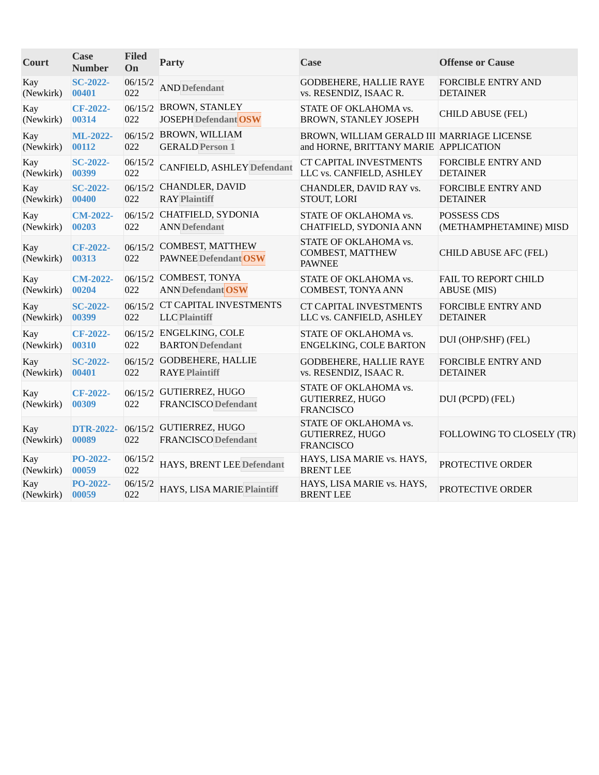| Court            | Case<br><b>Number</b>     | <b>Filed</b><br>On | Party                                                  | <b>Case</b>                                                  | <b>Offense or Cause</b>     |
|------------------|---------------------------|--------------------|--------------------------------------------------------|--------------------------------------------------------------|-----------------------------|
| Kay              | <b>SC-2022-</b>           | 06/15/2            | <b>AND Defendant</b>                                   | <b>GODBEHERE, HALLIE RAYE</b>                                | <b>FORCIBLE ENTRY AND</b>   |
| (Newkirk)        | 00401                     | 022                |                                                        | vs. RESENDIZ, ISAAC R.                                       | <b>DETAINER</b>             |
| Kay              | CF-2022-                  | 06/15/2            | <b>BROWN, STANLEY</b>                                  | STATE OF OKLAHOMA vs.                                        | <b>CHILD ABUSE (FEL)</b>    |
| (Newkirk)        | 00314                     | 022                | <b>JOSEPH Defendant OSW</b>                            | BROWN, STANLEY JOSEPH                                        |                             |
| Kay              | ML-2022-                  | 06/15/2            | BROWN, WILLIAM                                         | BROWN, WILLIAM GERALD III MARRIAGE LICENSE                   |                             |
| (Newkirk)        | 00112                     | 022                | <b>GERALD Person 1</b>                                 | and HORNE, BRITTANY MARIE APPLICATION                        |                             |
| Kay              | <b>SC-2022-</b>           | 06/15/2            | <b>CANFIELD, ASHLEY Defendant</b>                      | <b>CT CAPITAL INVESTMENTS</b>                                | <b>FORCIBLE ENTRY AND</b>   |
| (Newkirk)        | 00399                     | 022                |                                                        | LLC vs. CANFIELD, ASHLEY                                     | <b>DETAINER</b>             |
| Kay              | <b>SC-2022-</b>           | 06/15/2            | <b>CHANDLER, DAVID</b>                                 | CHANDLER, DAVID RAY vs.                                      | <b>FORCIBLE ENTRY AND</b>   |
| (Newkirk)        | 00400                     | 022                | <b>RAY Plaintiff</b>                                   | STOUT, LORI                                                  | <b>DETAINER</b>             |
| Kay              | <b>CM-2022-</b>           | 06/15/2            | CHATFIELD, SYDONIA                                     | STATE OF OKLAHOMA vs.                                        | <b>POSSESS CDS</b>          |
| (Newkirk)        | 00203                     | 022                | <b>ANN</b> Defendant                                   | CHATFIELD, SYDONIA ANN                                       | (METHAMPHETAMINE) MISD      |
| Kay<br>(Newkirk) | CF-2022-<br>00313         | 06/15/2<br>022     | <b>COMBEST, MATTHEW</b><br><b>PAWNEE Defendant OSW</b> | STATE OF OKLAHOMA vs.<br>COMBEST, MATTHEW<br><b>PAWNEE</b>   | CHILD ABUSE AFC (FEL)       |
| Kay              | <b>CM-2022-</b>           | 022                | 06/15/2 COMBEST, TONYA                                 | STATE OF OKLAHOMA vs.                                        | <b>FAIL TO REPORT CHILD</b> |
| (Newkirk)        | 00204                     |                    | <b>ANN Defendant OSW</b>                               | <b>COMBEST, TONYA ANN</b>                                    | <b>ABUSE</b> (MIS)          |
| Kay              | <b>SC-2022-</b>           | 06/15/2            | <b>CT CAPITAL INVESTMENTS</b>                          | <b>CT CAPITAL INVESTMENTS</b>                                | <b>FORCIBLE ENTRY AND</b>   |
| (Newkirk)        | 00399                     | 022                | <b>LLC</b> Plaintiff                                   | LLC vs. CANFIELD, ASHLEY                                     | <b>DETAINER</b>             |
| Kay<br>(Newkirk) | CF-2022-<br>00310         | 022                | 06/15/2 ENGELKING, COLE<br><b>BARTON</b> Defendant     | STATE OF OKLAHOMA vs.<br><b>ENGELKING, COLE BARTON</b>       | DUI (OHP/SHF) (FEL)         |
| Kay              | <b>SC-2022-</b>           | 06/15/2            | GODBEHERE, HALLIE                                      | <b>GODBEHERE, HALLIE RAYE</b>                                | <b>FORCIBLE ENTRY AND</b>   |
| (Newkirk)        | 00401                     | 022                | <b>RAYE Plaintiff</b>                                  | vs. RESENDIZ, ISAAC R.                                       | <b>DETAINER</b>             |
| Kay<br>(Newkirk) | CF-2022-<br>00309         | 022                | 06/15/2 GUTIERREZ, HUGO<br><b>FRANCISCO</b> Defendant  | STATE OF OKLAHOMA vs.<br>GUTIERREZ, HUGO<br><b>FRANCISCO</b> | DUI (PCPD) (FEL)            |
| Kay<br>(Newkirk) | <b>DTR-2022-</b><br>00089 | 06/15/2<br>022     | <b>GUTIERREZ, HUGO</b><br><b>FRANCISCO</b> Defendant   | STATE OF OKLAHOMA vs.<br>GUTIERREZ, HUGO<br><b>FRANCISCO</b> | FOLLOWING TO CLOSELY (TR)   |
| Kay<br>(Newkirk) | PO-2022-<br>00059         | 06/15/2<br>022     | HAYS, BRENT LEE Defendant                              | HAYS, LISA MARIE vs. HAYS,<br><b>BRENT LEE</b>               | PROTECTIVE ORDER            |
| Kay<br>(Newkirk) | PO-2022-<br>00059         | 06/15/2<br>022     | HAYS, LISA MARIE Plaintiff                             | HAYS, LISA MARIE vs. HAYS,<br><b>BRENT LEE</b>               | PROTECTIVE ORDER            |